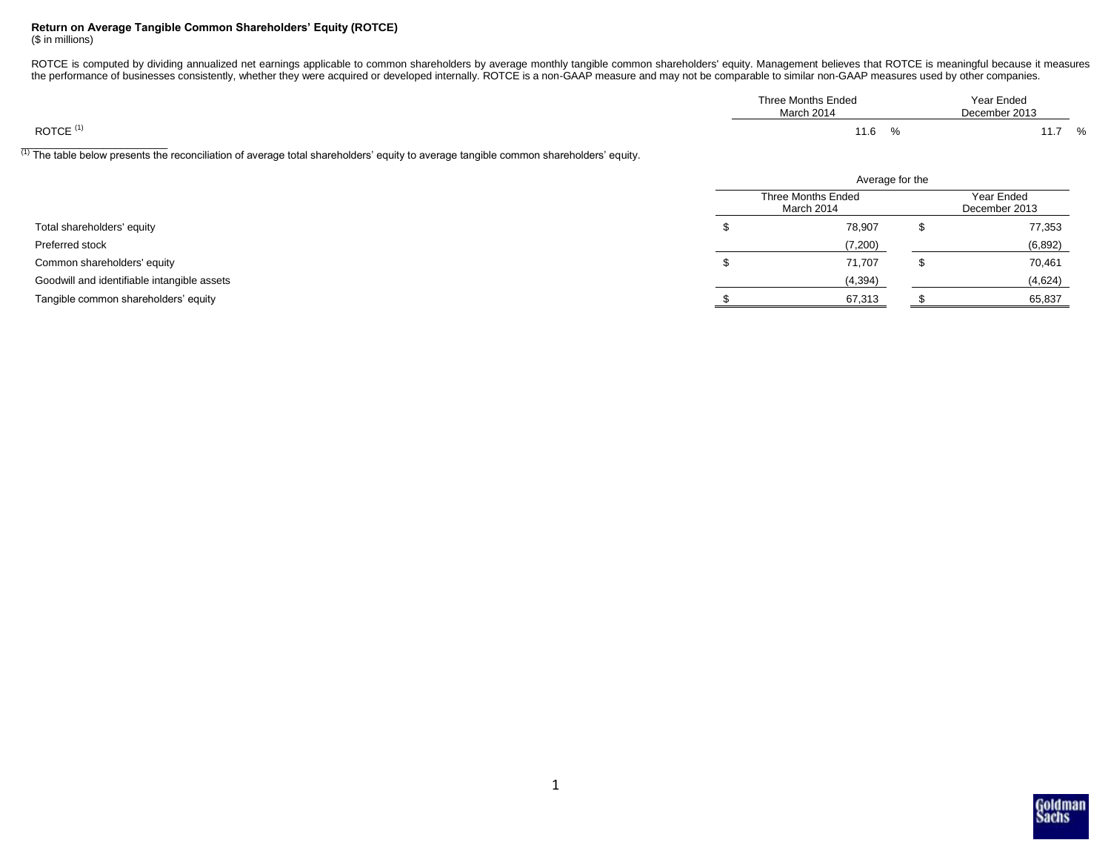# **Return on Average Tangible Common Shareholders' Equity (ROTCE)**

(\$ in millions)

ROTCE is computed by dividing annualized net earnings applicable to common shareholders by average monthly tangible common shareholders' equity. Management believes that ROTCE is meaningful because it measures the performance of businesses consistently, whether they were acquired or developed internally. ROTCE is a non-GAAP measure and may not be comparable to similar non-GAAP measures used by other companies.

| Three Months Ended<br>March 2014 | Year Ended<br>December 2013 |  |
|----------------------------------|-----------------------------|--|
| $\Omega$<br>11.0                 | $\Omega$<br>.               |  |

 $^{(1)}$  The table below presents the reconciliation of average total shareholders' equity to average tangible common shareholders' equity.

|                                             | Average for the                         |  |                             |  |
|---------------------------------------------|-----------------------------------------|--|-----------------------------|--|
| Total shareholders' equity                  | <b>Three Months Ended</b><br>March 2014 |  | Year Ended<br>December 2013 |  |
|                                             | 78,907                                  |  | 77,353                      |  |
| Preferred stock                             | (7,200)                                 |  | (6, 892)                    |  |
| Common shareholders' equity                 | 71,707                                  |  | 70,461                      |  |
| Goodwill and identifiable intangible assets | (4, 394)                                |  | (4,624)                     |  |
| Tangible common shareholders' equity        | 67,313                                  |  | 65,837                      |  |

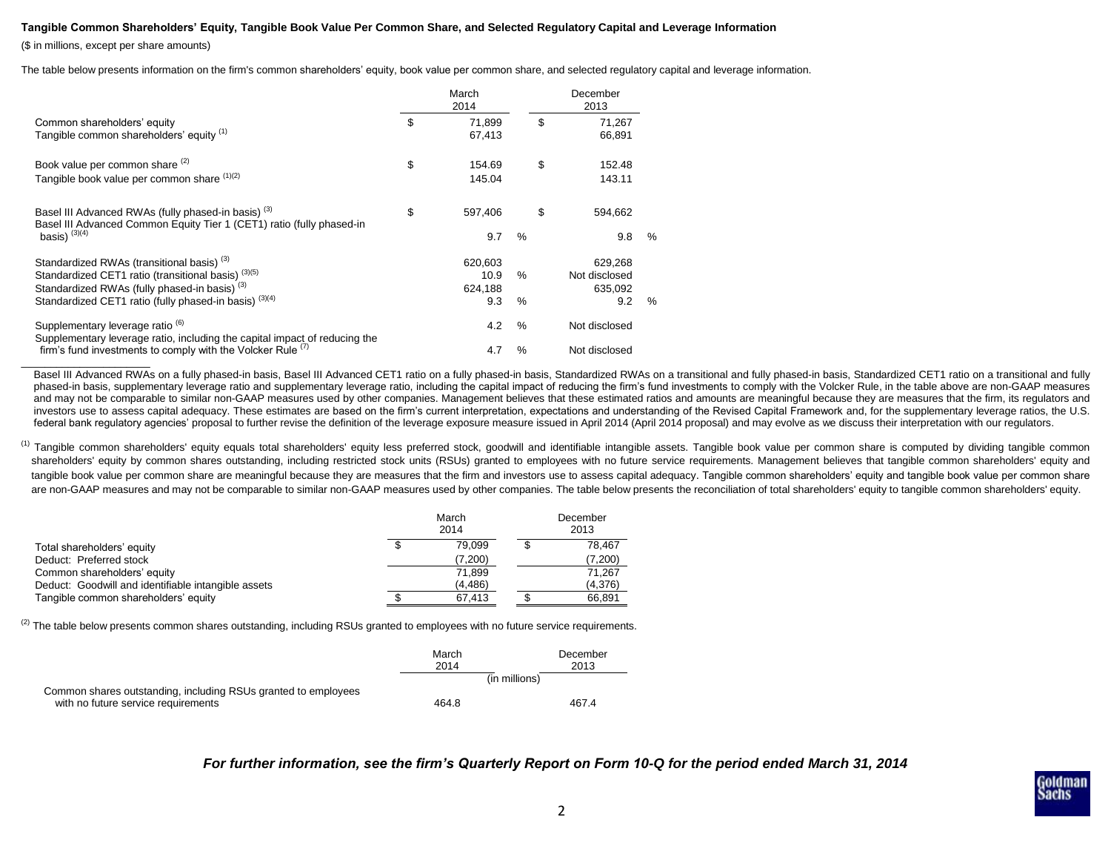#### **Tangible Common Shareholders' Equity, Tangible Book Value Per Common Share, and Selected Regulatory Capital and Leverage Information**

(\$ in millions, except per share amounts)

 $\overline{\phantom{a}}$  , where  $\overline{\phantom{a}}$  , where  $\overline{\phantom{a}}$ 

The table below presents information on the firm's common shareholders' equity, book value per common share, and selected regulatory capital and leverage information.

|                                                                                                                                                                                                                                               |    | March<br>2014                     |              | December<br>2013                           |      |  |
|-----------------------------------------------------------------------------------------------------------------------------------------------------------------------------------------------------------------------------------------------|----|-----------------------------------|--------------|--------------------------------------------|------|--|
| Common shareholders' equity<br>Tangible common shareholders' equity (1)                                                                                                                                                                       | \$ | 71.899<br>67,413                  | \$           | 71,267<br>66,891                           |      |  |
| Book value per common share (2)<br>Tangible book value per common share (1)(2)                                                                                                                                                                | \$ | 154.69<br>145.04                  | \$           | 152.48<br>143.11                           |      |  |
| Basel III Advanced RWAs (fully phased-in basis) <sup>(3)</sup><br>Basel III Advanced Common Equity Tier 1 (CET1) ratio (fully phased-in<br>basis) $(3)(4)$                                                                                    | \$ | 597.406<br>9.7                    | \$<br>$\%$   | 594.662<br>9.8                             | $\%$ |  |
| Standardized RWAs (transitional basis) <sup>(3)</sup><br>Standardized CET1 ratio (transitional basis) <sup>(3)(5)</sup><br>Standardized RWAs (fully phased-in basis) <sup>(3)</sup><br>Standardized CET1 ratio (fully phased-in basis) (3)(4) |    | 620,603<br>10.9<br>624,188<br>9.3 | $\%$<br>$\%$ | 629,268<br>Not disclosed<br>635,092<br>9.2 | $\%$ |  |
| Supplementary leverage ratio <sup>(6)</sup><br>Supplementary leverage ratio, including the capital impact of reducing the<br>firm's fund investments to comply with the Volcker Rule $(7)$                                                    |    | 4.2<br>4.7                        | $\%$<br>%    | Not disclosed<br>Not disclosed             |      |  |

Basel III Advanced RWAs on a fully phased-in basis, Basel III Advanced CET1 ratio on a fully phased-in basis, Standardized RWAs on a transitional and fully phased-in basis, Standardized CET1 ratio on a transitional and ful phased-in basis, supplementary leverage ratio and supplementary leverage ratio, including the capital impact of reducing the firm's fund investments to comply with the Volcker Rule, in the table above are non-GAAP measures and may not be comparable to similar non-GAAP measures used by other companies. Management believes that these estimated ratios and amounts are meaningful because they are measures that the firm, its regulators and investors use to assess capital adequacy. These estimates are based on the firm's current interpretation, expectations and understanding of the Revised Capital Framework and, for the supplementary leverage ratios, the U.S. federal bank regulatory agencies' proposal to further revise the definition of the leverage exposure measure issued in April 2014 (April 2014 proposal) and may evolve as we discuss their interpretation with our regulators.

<sup>(1)</sup> Tangible common shareholders' equity equals total shareholders' equity less preferred stock, goodwill and identifiable intangible assets. Tangible book value per common share is computed by dividing tangible common shareholders' equity by common shares outstanding, including restricted stock units (RSUs) granted to employees with no future service requirements. Management believes that tangible common shareholders' equity and tangible book value per common share are meaningful because they are measures that the firm and investors use to assess capital adequacy. Tangible common shareholders' equity and tangible book value per common share are non-GAAP measures and may not be comparable to similar non-GAAP measures used by other companies. The table below presents the reconciliation of total shareholders' equity to tangible common shareholders' equity.

|                                                     | March<br>2014 | December<br>2013 |         |  |
|-----------------------------------------------------|---------------|------------------|---------|--|
| Total shareholders' equity                          | 79.099        |                  | 78.467  |  |
| Deduct: Preferred stock                             | (7,200)       |                  | 7,200   |  |
| Common shareholders' equity                         | 71.899        |                  | 71.267  |  |
| Deduct: Goodwill and identifiable intangible assets | (4, 486)      |                  | (4,376) |  |
| Tangible common shareholders' equity                | 67.413        |                  | 66.891  |  |

 $^{(2)}$  The table below presents common shares outstanding, including RSUs granted to employees with no future service requirements.

|                                                                | March<br>2014 | December<br>2013 |
|----------------------------------------------------------------|---------------|------------------|
|                                                                |               | (in millions)    |
| Common shares outstanding, including RSUs granted to employees |               |                  |
| with no future service requirements                            | 464.8         | 467.4            |

## *For further information, see the firm's Quarterly Report on Form 10-Q for the period ended March 31, 2014*